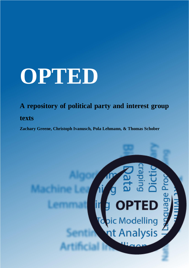# **OPTED**

### **A repository of political party and interest group**

### **texts**

**Zachary Greene, Christoph Ivanusch, Pola Lehmann, & Thomas Schober**

# $\overline{\text{TED}}$ pic Modelling<br>nt Analysis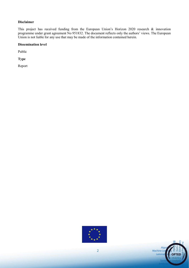#### **Disclaimer**

This project has received funding from the European Union's Horizon 2020 research & innovation programme under grant agreement No 951832. The document reflects only the authors' views. The European Union is not liable for any use that may be made of the information contained herein.

#### **Dissemination level**

Public

**Type** 

Report



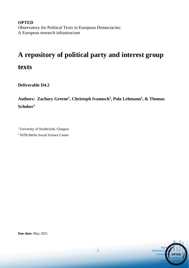**OPTED** Observatory for Political Texts in European Democracies: A European research infrastructure

## **A repository of political party and interest group**

**texts**

**Deliverable D4.2**

**Authors: Zachary Greene<sup>1</sup> , Christoph Ivanusch<sup>2</sup> , Pola Lehmann<sup>2</sup> , & Thomas Schober<sup>1</sup>**

<sup>1</sup> University of Strathclyde, Glasgow

<sup>2</sup> WZB Berlin Social Science Center

Machine Le

**Due date:** May 2021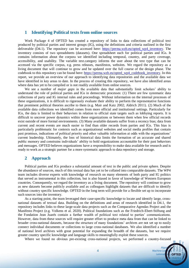#### **1 Identifying Political texts from online sources**

Work Package 4 of OPTED has created a repository of links to data collections of political text produced by political parties and interest groups (IG), using the definitions and criteria outlined in the first deliverable (D4.1). The repository can be accessed here: [https://perma.wzb.eu/opted\\_wp4\\_inventory.](https://perma.wzb.eu/opted_wp4_inventory) The inventory consists of two spreadsheets (datasets). One spreadsheet each for political parties and IGs. It contains information about the corpora we identified including temporal, country, and party coverage, accessibility, and usability. The variable text.category informs the user about the text type that can be accessed via the specific corpus, e.g. press releases, manifestos, websites. We regard the repository as a living document that will continue to grow and be updated over the full course of the design phase. The codebook to this repository can be found here: [https://perma.wzb.eu/opted\\_wp4\\_codebook\\_inventory.](https://perma.wzb.eu/opted_wp4_codebook_inventory) In this report, we provide an overview of our approach to identifying data repositories and the available data we have identified in key areas to date. In the process of creating this repository, we have also identified areas where data has yet to be compiled or is not readily available from online sources.

We see a number of *major gaps* in the available data that substantially limit scholars' ability to understand the role of political parties and IGs in democratic processes: (1) There are few systematic data collections of party and IG internal rules and proceedings. Without information on the internal processes of these organizations, it is difficult to rigorously evaluate their ability to perform the representative functions that prominent political theories ascribe to them (e.g. Mair and Katz 2002; Aldrich 2011). (2) Much of the available data collections we identified comes from more official and institutional settings. Particularly for IGs, the data is limited to their behaviors in relation to official state targets such as lobbying reports. It is difficult to uncover power dynamics within these organizations or between them when few official records exist outside of more formal environments. (3) Many available datasets suffer from a recency bias; data from current and recent events are much easier to find than older records from parties and IGs. This bias is particularly problematic for contexts such as organizational websites and social media profiles that contain past promises, indications of political priority and other valuable information at odds with the organizations' current leadership. Ultimately, the loss of historical data limits the formation of an accurate and shared public memory and constrains individuals' ability to hold organizations accountable for their past behaviors and messages. OPTED believes organizations have a responsibility to make data available for research and is ready to work as a strategic partner for a more systematic approach to data repository and storage.

#### **2 Approach**

Political parties and IGs produce a substantial amount of text in the public and private sphere. Despite the abundance of sources, much of this textual data has yet to be collated into comparable datasets. The WP4 team includes diverse experts with knowledge of research on many elements of both party and IG politics that served as instrumental in this collection, but is also biased in favor of knowledge of Western European countries. Consequently, we regard the inventory as a living document. The repository will continue to grow as new datasets become publicly available and as colleagues highlight datasets that are difficult to identify without country specific knowledge. OPTED in the long term will provide for a flexible set up to incorporate such sources into the inventory.

As a starting point, the team leveraged their case-specific knowledge to locate and identify large, crossnational datasets of textual data. Building on the definitions and areas of research identified in D4.1, the repository includes links to these large-scale data projects such as the Comparative Agendas Project and the Manifesto Project (e.g. Volkens et al. 2020). Political foundations such as the Friedrich-Ebert-Stiftung and the Fondation Jean Juarés contain a further wealth of political text related to parties' communications. However, data from these sources will require greater effort to produce meta data from that can be linked to broader cross-national datasets, because the structure of many foundations' archives are not set up to easily connect individual documents or collections to large cross-national databases. We also identified a number of national level archives with great potential for expanding the breadth of the datasets, but we require greater country specific knowledge and language skills to meaningfully exploit these sources.

Where we found no obvious pre-existing cross-national projects, we performed a country-focused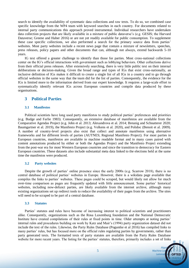search to identify the availability of systematic data collections and raw texts. To do so, we combined case specific knowledge from the WP4 team with keyword searches in each country. For documents related to internal party communications this approach proved instrumental. Individual researchers have undertaken data collection projects that are likely available in a mixture of public dataverse's (e.g. GESIS; the Harvard Dataverse; Greene and Haber 2016) or are not yet readily available for public consumption. To supplement these case specific collections, we also performed a search for the primary source data from parties' websites. Most party websites include a recent news page that contain a mixture of newsletters, speeches, press releases, policy papers and other documents that can, although not always, extend backwards 5-10 years.

IG text offered a greater challenge to identify than those for parties. Most cross-national collections center on the IG's official interactions with government such as lobbying behaviors. Other collections derive from their official press releases. After extensively searching, there is very little public text on their internal deliberations or decision-making. Given the broad range and types of IGs that exist cross-nationally, an inclusive definition of IGs makes it difficult to create a single list of all IGs in a country and to go through official websites in the same way that the team did for the list of parties. Consequently, the evidence for the IGs is limited more to the information derived from our expert knowledge. It requires a large-scale effort to systematically identify relevant IGs across European countries and compile data produced by these organisations.

#### **3 Political Parties**

#### **3.1 Manifestos**

Political scientists have long used party manifestos to study political parties' preferences and priorities (e.g. Budge and Farlie 1983). Consequently, an extensive database of manifestos are available from the Comparative Agendas Project (e.g. John et al. 2013; Alexandrova et al. 2014; Breunig and Schnatterer 2020; Baumgartner et al. 2019), the Manifesto Project (e.g. Volkens et al. 2020), and Polidoc (Benoit et al. 2009). A number of country-level projects also exist that collect and annotate manifestos using alternative frameworks and for different levels of parties (AUTNES; Regional Manifesto Project). For most parties in European countries, manifestos are available in machine readable format and in many cases paired with content annotations produced by either or both the Agendas Project and the Manifesto Project extending from the post-war era for most Western European countries and since the transition to democracy for Eastern European countries. These datasets also include substantial meta data linked to the elections held at the same time the manifestos were produced.

#### **3.2 Party websites**

Despite the growth of parties' online presence since the early 2000s (e.g. Scarrow 2018), there is no central database of political parties' websites in Europe. However, there is a wikidata page available that compiles the links to parties' websites. These pages could be scraped, but would likely not allow for much over-time comparison as pages are frequently updated with little announcement. Some parties' historical websites, including now-defunct parties, are likely available from the internet archive, although many existing organizations set up redirect tools to reduce the availability of their pages from the archive. The sites will need to be scraped to be part of a central database.

#### **3.3 Statutes**

Parties' statutes and rules have become of increasing interest to political scientists and practitioners alike. Consequently, organizations such as the Rosa Luxemburg foundation and the National Democratic Institute have created compilations of their rules at fixed points in time. Older attempts at noting parties' internal rules and procedures building on work by Katz and Mair's (1994) party organization dataset did not include the text of the rules. Likewise, the Party Rules Database (Poguntke et al 2016) has compiled links to many parties' rules, but has focused more on the official rules regulating parties by governments, rather than party generated texts. The formatted texts of party statutes are available from the Party Rules Database website for more recent years. The listing for the parties' statutes, therefore, primarily includes a set of links

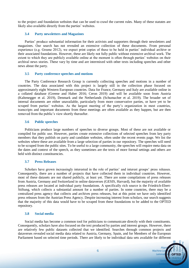to the project and foundation websites that can be used to crawl the current rules. Many of these statutes are likely also available directly from the parties' websites.

#### **3.4 Party newsletters and Magazines**

Parties' produce substantial information for their activists and supporters through their newsletters and magazines. Our search has not revealed an extensive collection of these documents. From personal experience (e.g. Greene 2012), we expect print copies of these to be held in parties' individual archive or their associated foundations. However, these are likely not fully public without extensive archival work. The extent to which they are publicly available online at the moment is often through parties' websites on their archival news stories. These vary by time and are intermixed with other texts including speeches and other news about the party.

#### **3.5 Party conference speeches and motions**

The Party Conference Research Group is currently collecting speeches and motions in a number of countries. The data associated with this project is largely still in the collection phase focused on approximately eight Western European countries. Data for France, Germany and Italy are available online in a collated database (Greene and Haber 2016; Ceron 2019) and will be available soon from Austria (Kaltenegger et al. 2019), Denmark and the Netherlands (Schumacher et al. 2019). The broader set of internal documents are either unavailable, particularly from more conservative parties, or have yet to be scraped from parties' websites. As the largest meeting of the party's organization in most countries, transcripts and important documents from these meetings are often available as they happen, but are then removed from the public's view shortly thereafter.

#### **3.6 Public speeches**

Politicians produce large numbers of speeches to diverse groups. Most of these are not available or compiled for public use. However, parties create extensive collections of selected speeches from key party members that they publish on party and candidate websites, often under the recent events page. We list the websites where these are available from a large selection of parties in our repository. The speeches will need to be scraped from the public sites. To be useful to a large community, the speeches will require meta data on the dates and context of the speech, as they sometimes are the texts of more formal settings and others are held with distinct constituencies.

#### **3.7 Press Releases**

Scholars have grown increasingly interested in the role of parties' and interest groups' press releases. Consequently, there are a number of projects that have collected them in individual countries. However, most of these datasets are not shared publicly, at least yet. There are some compilations of press releases from Austria, Germany and Switzerland in online dataverses (GESIS, Harvard), but the majority of available press releases are located at individual party foundations. A specifically rich source is the Friedrich-Ebert-Stiftung, which collects a substantial amount for a number of parties. In some countries, there may be a centralized press agency that collects and archives press releases, but at this point we have only identified press releases from the Austrian Press Agency. Despite increasing interest from scholars, our search suggests that the majority of this data would have to be scraped from these foundations to be added to the OPTED repository.

#### **3.8 Social media**

Social media has become a common tool for politicians to communicate directly with their constituents. Consequently, scholars have also focused on the text produced by parties and interest groups. However, there are relatively few public datasets collected that we identified. Searches through common projects and dataverses revealed social media data related to Austria, Germany, Spain, and for Members of the European Parliament based on selected time periods. There are likely to be individual data sets available for different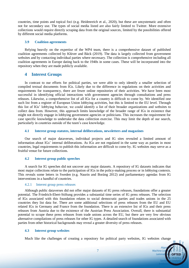countries, time points and topical foci (e.g. Heidenreich et al., 2020), but these are unsystematic and often not for secondary use. The types of social media listed are also fairly limited to Twitter. More extensive collections would require directly scraping data from the original sources, limited by the possibilities offered by different social media platforms.

#### **3.9 Coalition agreements**

Relying heavily on the expertise of the WP4 team, there is a comprehensive dataset of published coalition agreements collected by Klüver and Bäck (2019). The data is largely collected from government websites and by contacting individual parties where necessary. The collection is comprehensive including all coalition agreements in Europe dating back to the 1940s in some cases. These will be incorporated into the repository when they are made publicly available.

#### **4 Interest Groups**

In contrast to our efforts for political parties, we were able to only identify a smaller selection of compiled textual documents from IGs. Likely due to the difference in regulations on their activities and requirements for transparency, there are fewer online repositories of their activities. We have been most successful in identifying official interactions with government agencies through consultations and press releases. Likewise, a comprehensive list of all IGs for a country is difficult to come by. We identified one such list from a register of European Union lobbying activities, but this is limited to the EU level. Through this list of IGs' lobbying behavior, we could identify a list of their broader organizations and websites to collect data from. However, this approach limits knowledge of the broader range of IGs in existence that might not directly engage in lobbying government agencies or politicians. This increases the requirement for case specific knowledge to undertake the data collection exercise. This may limit the depth of our search, particularly in countries outside of the team's case knowledge.

#### **4.1 Interest group statutes, internal deliberations, newsletters and magazines**

Our search of major dataverses, individual projects and IG sites revealed a limited amount of information about IGs' internal deliberations. As IGs are not regulated in the same way as parties in most countries, legal requirements to publish this information are difficult to come by. IG websites may serve as a fruitful venue for future collections.

#### **4.2 Interest group public speeches**

A search for IG speeches did not uncover any major datasets. A repository of IG datasets indicates that most major collections relate to the participation of IGs in the policy-making process or in lobbying contexts. This reveals some letters in Sweden (e.g. Naurin and Boräng 2012) and parliamentary agendas from IG interventions in a handful of countries.

#### 4.2.1 Interest group press releases

Although public dataverses did not offer major datasets of IG press releases, foundations offer a greater potential. The Friedrich-Ebert-Stiftung provides a substantial time series of IG press releases. The selection of IGs associated with this foundation relates to social democratic parties and trades unions in the 25 countries they list data for. There are some additional selections of press releases from the EU and EU related IGs in Germany and France from the foundation. There is an extensive list of IGs and their press releases from Austria due to the existence of the Austrian Press Association. Overall, there is substantial potential to scrape these press releases from trade unions across the EU, but there are very few obvious alternative compilations of press releases for other IG types. A detailed search of foundations associated with parties from other historical backgrounds may reveal a greater diversity of press releases.

#### **4.3 Interest group websites**

Much like the challenges of creating a repository for political party websites, IG websites change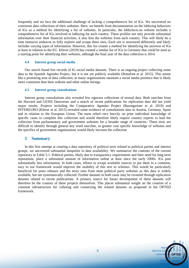frequently and we face the additional challenge of lacking a comprehensive list of IGs. We uncovered no consistent data collections of their websites. Here, we benefit from documentation on the lobbying behaviors of IGs as a method for identifying a list of websites. In particular, the lobbyfacts.eu website includes a comprehensive list of IGs involved in lobbying for each country. These profiles not only provide substantial information over their financial activities, it also lists the websites from each country. This will likely be a time intensive endeavor to fully explore and scrape these sites. Each site is structured differently and likely includes varying types of information. However, this list creates a method for identifying the universe of IGs at least in relation to the EU. Klüver (2019) has created a similar list of IGs in Germany that could be used as a starting point for identifying their websites, although the final year of the data collection is 2014.

#### **4.4 Interest group social media**

Our search found few records of IG social media datasets. There is an ongoing project collecting some data to the Spanish Agendas Project, but it is not yet publicly available (Bonafont et al. 2015). This seems like a promising area of data collection, as many organizations maintain a social media presence that is likely more consistent than their website and other online listings.

#### **4.5 Interest group consultations**

Interest group consultations also revealed few rigorous collections of textual data. Both searches from the Harvard and GESIS Dataverses and a search of recent publications for replication data did not yield major results. Projects including the Comparative Agendas Project (Baumgartner et al. 2019) and INTEREURO (Klüver et al. 2015) revealed some evidence of consultations data in Austria, Germany, Spain and in relation to the European Union. The team relied very heavily on prior individual knowledge of specific cases to complete this collection and would therefore likely require country experts to lead the collection from parliamentary and government websites for a broader range of countries. These texts are difficult to identify through general key word searches, so greater case specific knowledge of websites and the specifics of government organizations would likely increase the collection

#### **5 Summary**

In this first attempt at creating a data repository of political texts related to political parties and interest groups, we uncovered substantial inequities in data availability. We summarize the contents of the current repository in Table 5.1. Political parties, likely due to transparency requirements and their need for long term reputations, place a substantial amount of information online at least since the early 2000s. IGs post substantially less information. In both cases, efforts to scrape available sources to put them in a common, easy to use framework would improve the usability of this text to scholars. This would be particularly beneficial for press releases and the news sites from most political party websites as this data is widely available, but not systematically collected. Further datasets in both cases may be revealed through replication datasets related to recent publications. A primary source for future development of these datasets will therefore be the creators of these projects themselves. This places substantial weight on the creation of a common infrastructure for collating and connecting the related datasets as proposed in the OPTED framework.

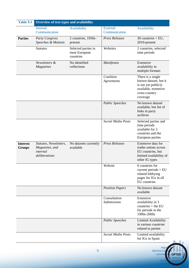| Table 5.1                        | Overview of text types and availability                               |                                                   |                                    |                                                                                                                        |
|----------------------------------|-----------------------------------------------------------------------|---------------------------------------------------|------------------------------------|------------------------------------------------------------------------------------------------------------------------|
|                                  | <b>Internal</b><br>Communication                                      | Availability                                      | <b>External</b><br>Communication   | Availability                                                                                                           |
| <b>Parties</b>                   | <b>Party Congress</b><br>Speeches & Motions                           | 2 countries, 1950s-<br>present                    | <b>Press Releases</b>              | 30 countries $+EU$ ,<br>2010-present                                                                                   |
|                                  | <b>Statutes</b>                                                       | Selected parties in<br>most European<br>countries | Websites                           | 2 countries, selected<br>time periods                                                                                  |
|                                  | Newsletters &<br>Magazines                                            | No identified<br>collections                      | Manifestos                         | Extensive<br>availability in<br>multiple formats                                                                       |
|                                  |                                                                       |                                                   | Coalition<br>Agreements            | There is a single<br>known dataset, but it<br>is not yet publicly<br>available, extensive<br>cross-country<br>coverage |
|                                  |                                                                       |                                                   | <b>Public Speeches</b>             | No known dataset<br>available, but list of<br>links in party<br>archives                                               |
|                                  |                                                                       |                                                   | Social Media Posts                 | Selected parties and<br>time periods<br>available for 3<br>countries and the<br>European parties                       |
| <b>Interest</b><br><b>Groups</b> | Statutes, Newsletters,<br>Magazines, and<br>internal<br>deliberations | No datasets currently<br>available                | <b>Press Releases</b>              | Extensive data for<br>trades unions across<br>EU countries, but<br>limited availability of<br>other IG types           |
|                                  |                                                                       |                                                   | Website                            | 6 countries for<br>current periods $+$ EU<br>related lobbying<br>pages for IGs in all<br>EU countries                  |
|                                  |                                                                       |                                                   | <b>Position Papers</b>             | No known dataset<br>available                                                                                          |
|                                  |                                                                       |                                                   | Consultation<br><b>Submissions</b> | Extensive<br>availability in 3<br>countries $+$ the EU<br>for periods in the<br>1990s-2000s                            |
|                                  |                                                                       |                                                   | <b>Public Speeches</b>             | Limited Availability<br>in various countries<br>related to parties                                                     |
|                                  |                                                                       |                                                   | Social Media Posts                 | Limited availability<br>for IGs in Spain                                                                               |